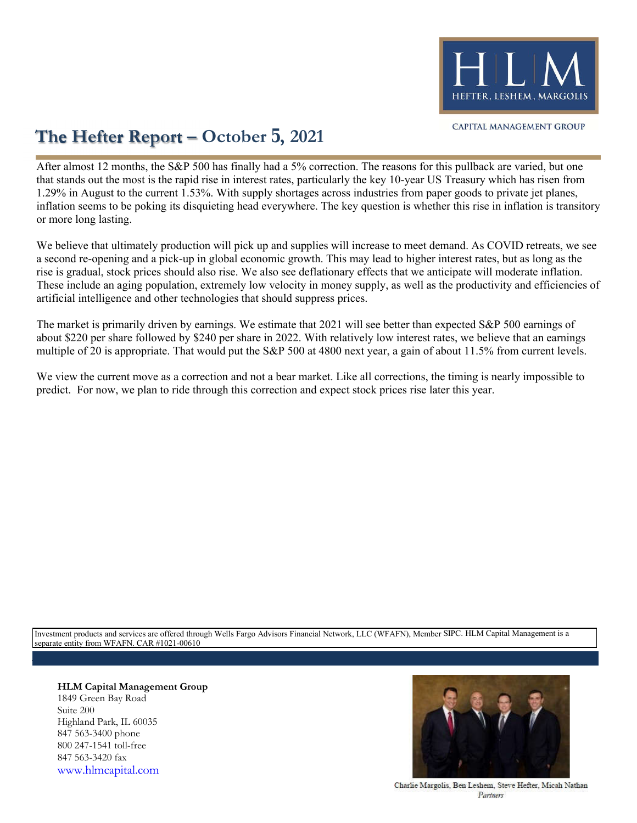

## **The Hefter Report – October 5, 2021**

or more long lasting. inflation seems to be poking its disquieting head everywhere. The key question is whether this rise in inflation is transitory 1.29% in August to the current 1.53%. With supply shortages across industries from paper goods to private jet planes, that stands out the most is the rapid rise in interest rates, particularly the key 10-year US Treasury which has risen from After almost 12 months, the S&P 500 has finally had a 5% correction. The reasons for this pullback are varied, but one

artificial intelligence and other technologies that should suppress prices. These include an aging population, extremely low velocity in money supply, as well as the productivity and efficiencies of rise is gradual, stock prices should also rise. We also see deflationary effects that we anticipate will moderate inflation. a second re-opening and a pick-up in global economic growth. This may lead to higher interest rates, but as long as the We believe that ultimately production will pick up and supplies will increase to meet demand. As COVID retreats, we see

 multiple of 20 is appropriate. That would put the S&P 500 at 4800 next year, a gain of about 11.5% from current levels. about \$220 per share followed by \$240 per share in 2022. With relatively low interest rates, we believe that an earnings The market is primarily driven by earnings. We estimate that 2021 will see better than expected S&P 500 earnings of

predict. For now, we plan to ride through this correction and expect stock prices rise later this year. We view the current move as a correction and not a bear market. Like all corrections, the timing is nearly impossible to

separate entity from WFAFN. CAR #1021-00610 Investment products and services are offered through Wells Fargo Advisors Financial Network, LLC (WFAFN), Member SIPC. HLM Capital Management is a

## **HLM Capital Management Group** 1849 Green Bay Road Suite 200 Highland Park, IL 60035 847 563-3400 phone 800 247-1541 toll-free 847 563-3420 fax

www.hlmcapital.com



Charlie Margolis, Ben Leshem, Steve Hefter, Micah Nathan Partners